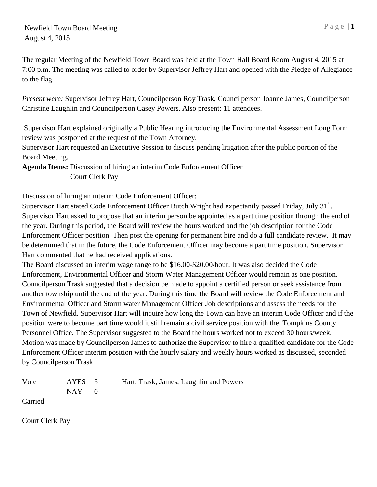The regular Meeting of the Newfield Town Board was held at the Town Hall Board Room August 4, 2015 at 7:00 p.m. The meeting was called to order by Supervisor Jeffrey Hart and opened with the Pledge of Allegiance to the flag.

*Present were:* Supervisor Jeffrey Hart, Councilperson Roy Trask, Councilperson Joanne James, Councilperson Christine Laughlin and Councilperson Casey Powers. Also present: 11 attendees.

Supervisor Hart explained originally a Public Hearing introducing the Environmental Assessment Long Form review was postponed at the request of the Town Attorney.

Supervisor Hart requested an Executive Session to discuss pending litigation after the public portion of the Board Meeting.

**Agenda Items:** Discussion of hiring an interim Code Enforcement Officer Court Clerk Pay

Discussion of hiring an interim Code Enforcement Officer:

Supervisor Hart stated Code Enforcement Officer Butch Wright had expectantly passed Friday, July 31<sup>st</sup>. Supervisor Hart asked to propose that an interim person be appointed as a part time position through the end of the year. During this period, the Board will review the hours worked and the job description for the Code Enforcement Officer position. Then post the opening for permanent hire and do a full candidate review. It may be determined that in the future, the Code Enforcement Officer may become a part time position. Supervisor Hart commented that he had received applications.

The Board discussed an interim wage range to be \$16.00-\$20.00/hour. It was also decided the Code Enforcement, Environmental Officer and Storm Water Management Officer would remain as one position. Councilperson Trask suggested that a decision be made to appoint a certified person or seek assistance from another township until the end of the year. During this time the Board will review the Code Enforcement and Environmental Officer and Storm water Management Officer Job descriptions and assess the needs for the Town of Newfield. Supervisor Hart will inquire how long the Town can have an interim Code Officer and if the position were to become part time would it still remain a civil service position with the Tompkins County Personnel Office. The Supervisor suggested to the Board the hours worked not to exceed 30 hours/week. Motion was made by Councilperson James to authorize the Supervisor to hire a qualified candidate for the Code Enforcement Officer interim position with the hourly salary and weekly hours worked as discussed, seconded by Councilperson Trask.

| Vote<br>AYES | Hart, Trask, James, Laughlin and Powers |
|--------------|-----------------------------------------|
|              |                                         |

Carried

Court Clerk Pay

 $NAY$  0